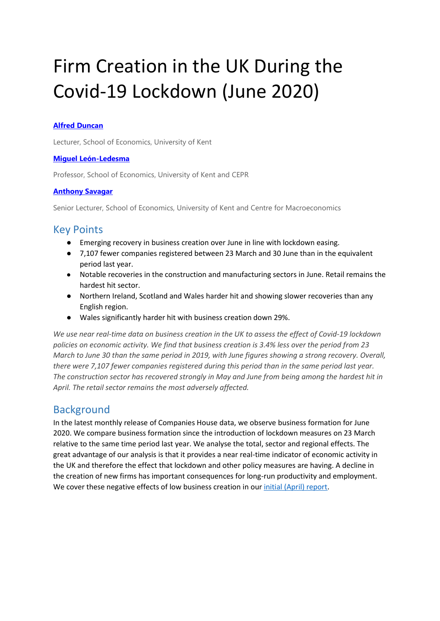# Firm Creation in the UK During the Covid-19 Lockdown (June 2020)

### **[Alfred Duncan](https://www.alfredduncan.co.uk/)**

Lecturer, School of Economics, University of Kent

#### **[Miguel León-Ledesma](https://sites.google.com/site/miguelleonledesmaspernonalsite/Home)**

Professor, School of Economics, University of Kent and CEPR

#### **[Anthony Savagar](https://www.asavagar.com/)**

Senior Lecturer, School of Economics, University of Kent and Centre for Macroeconomics

## Key Points

- Emerging recovery in business creation over June in line with lockdown easing.
- 7,107 fewer companies registered between 23 March and 30 June than in the equivalent period last year.
- Notable recoveries in the construction and manufacturing sectors in June. Retail remains the hardest hit sector.
- Northern Ireland, Scotland and Wales harder hit and showing slower recoveries than any English region.
- Wales significantly harder hit with business creation down 29%.

*We use near real-time data on business creation in the UK to assess the effect of Covid-19 lockdown policies on economic activity. We find that business creation is 3.4% less over the period from 23 March to June 30 than the same period in 2019, with June figures showing a strong recovery. Overall, there were 7,107 fewer companies registered during this period than in the same period last year. The construction sector has recovered strongly in May and June from being among the hardest hit in April. The retail sector remains the most adversely affected.* 

## **Background**

In the latest monthly release of Companies House data, we observe business formation for June 2020. We compare business formation since the introduction of lockdown measures on 23 March relative to the same time period last year. We analyse the total, sector and regional effects. The great advantage of our analysis is that it provides a near real-time indicator of economic activity in the UK and therefore the effect that lockdown and other policy measures are having. A decline in the creation of new firms has important consequences for long-run productivity and employment. We cover these negative effects of low business creation in our [initial \(April\) report.](https://www.kent.ac.uk/news/society/25387/economics-report-shows-32-decrease-in-uks-weekly-business-creation-since-lockdown)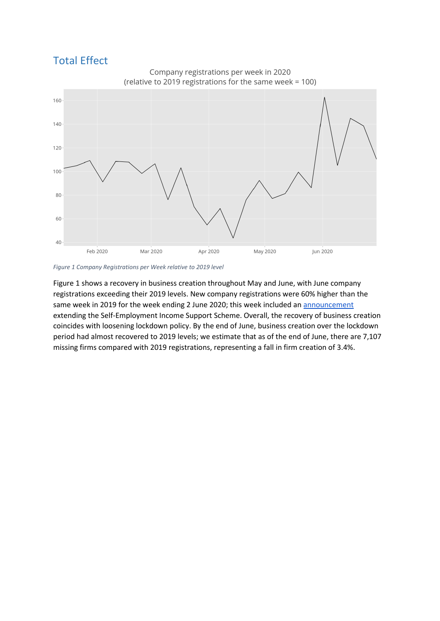# Total Effect



*Figure 1 Company Registrations per Week relative to 2019 level*

Figure 1 shows a recovery in business creation throughout May and June, with June company registrations exceeding their 2019 levels. New company registrations were 60% higher than the same week in 2019 for the week ending 2 June 2020; this week included an [announcement](https://www.gov.uk/government/news/chancellor-extends-self-employment-support-scheme-and-confirms-furlough-next-steps) extending the Self-Employment Income Support Scheme. Overall, the recovery of business creation coincides with loosening lockdown policy. By the end of June, business creation over the lockdown period had almost recovered to 2019 levels; we estimate that as of the end of June, there are 7,107 missing firms compared with 2019 registrations, representing a fall in firm creation of 3.4%.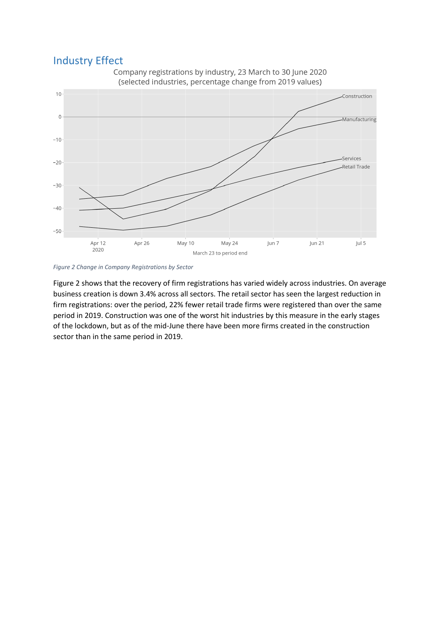## Industry Effect



*Figure 2 Change in Company Registrations by Sector*

Figure 2 shows that the recovery of firm registrations has varied widely across industries. On average business creation is down 3.4% across all sectors. The retail sector has seen the largest reduction in firm registrations: over the period, 22% fewer retail trade firms were registered than over the same period in 2019. Construction was one of the worst hit industries by this measure in the early stages of the lockdown, but as of the mid-June there have been more firms created in the construction sector than in the same period in 2019.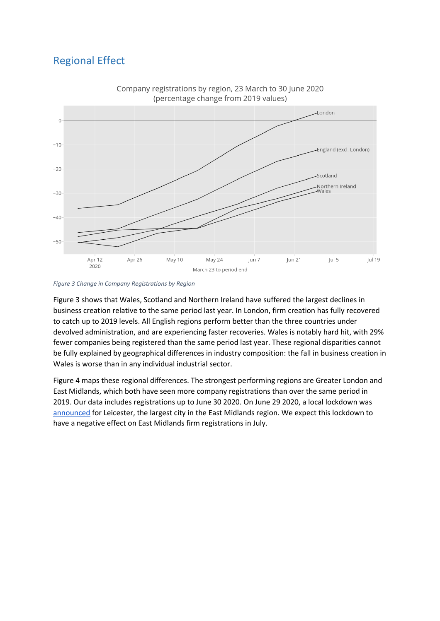# Regional Effect



*Figure 3 Change in Company Registrations by Region*

Figure 3 shows that Wales, Scotland and Northern Ireland have suffered the largest declines in business creation relative to the same period last year. In London, firm creation has fully recovered to catch up to 2019 levels. All English regions perform better than the three countries under devolved administration, and are experiencing faster recoveries. Wales is notably hard hit, with 29% fewer companies being registered than the same period last year. These regional disparities cannot be fully explained by geographical differences in industry composition: the fall in business creation in Wales is worse than in any individual industrial sector.

Figure 4 maps these regional differences. The strongest performing regions are Greater London and East Midlands, which both have seen more company registrations than over the same period in 2019. Our data includes registrations up to June 30 2020. On June 29 2020, a local lockdown was [announced](https://www.gov.uk/government/news/leicestershire-coronavirus-lockdown-areas-and-changes) for Leicester, the largest city in the East Midlands region. We expect this lockdown to have a negative effect on East Midlands firm registrations in July.